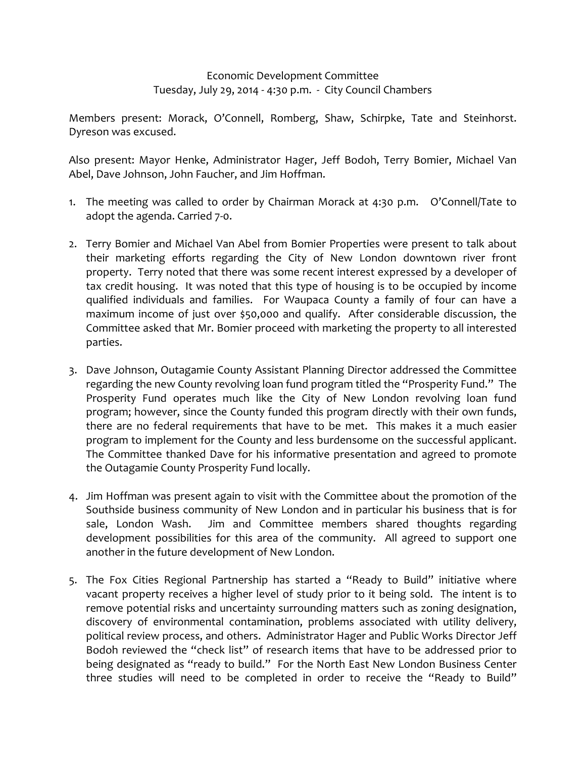Economic Development Committee Tuesday, July 29, 2014 ‐ 4:30 p.m. ‐ City Council Chambers

Members present: Morack, O'Connell, Romberg, Shaw, Schirpke, Tate and Steinhorst. Dyreson was excused.

Also present: Mayor Henke, Administrator Hager, Jeff Bodoh, Terry Bomier, Michael Van Abel, Dave Johnson, John Faucher, and Jim Hoffman.

- 1. The meeting was called to order by Chairman Morack at 4:30 p.m. O'Connell/Tate to adopt the agenda. Carried 7‐0.
- 2. Terry Bomier and Michael Van Abel from Bomier Properties were present to talk about their marketing efforts regarding the City of New London downtown river front property. Terry noted that there was some recent interest expressed by a developer of tax credit housing. It was noted that this type of housing is to be occupied by income qualified individuals and families. For Waupaca County a family of four can have a maximum income of just over \$50,000 and qualify. After considerable discussion, the Committee asked that Mr. Bomier proceed with marketing the property to all interested parties.
- 3. Dave Johnson, Outagamie County Assistant Planning Director addressed the Committee regarding the new County revolving loan fund program titled the "Prosperity Fund." The Prosperity Fund operates much like the City of New London revolving loan fund program; however, since the County funded this program directly with their own funds, there are no federal requirements that have to be met. This makes it a much easier program to implement for the County and less burdensome on the successful applicant. The Committee thanked Dave for his informative presentation and agreed to promote the Outagamie County Prosperity Fund locally.
- 4. Jim Hoffman was present again to visit with the Committee about the promotion of the Southside business community of New London and in particular his business that is for sale, London Wash. Jim and Committee members shared thoughts regarding development possibilities for this area of the community. All agreed to support one another in the future development of New London.
- 5. The Fox Cities Regional Partnership has started a "Ready to Build" initiative where vacant property receives a higher level of study prior to it being sold. The intent is to remove potential risks and uncertainty surrounding matters such as zoning designation, discovery of environmental contamination, problems associated with utility delivery, political review process, and others. Administrator Hager and Public Works Director Jeff Bodoh reviewed the "check list" of research items that have to be addressed prior to being designated as "ready to build." For the North East New London Business Center three studies will need to be completed in order to receive the "Ready to Build"